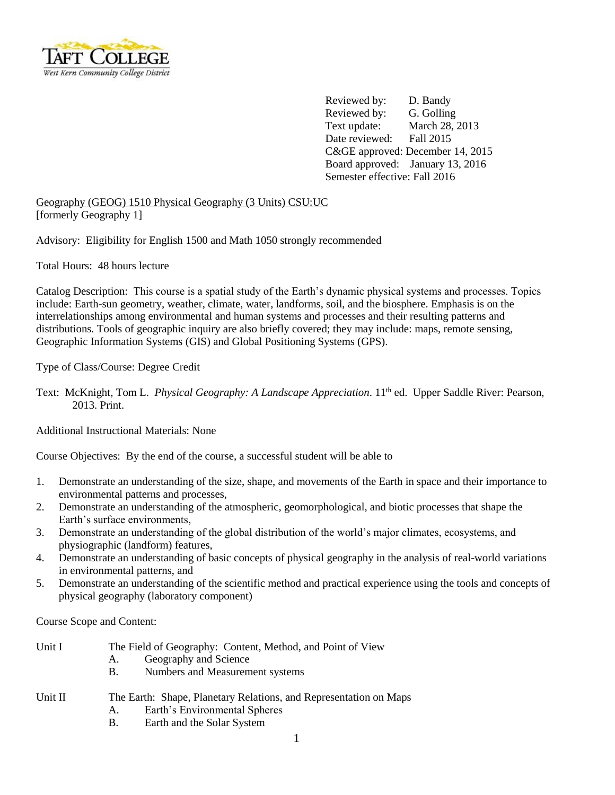

 Reviewed by: D. Bandy Reviewed by: G. Golling Text update: March 28, 2013 Date reviewed: Fall 2015 C&GE approved: December 14, 2015 Board approved: January 13, 2016 Semester effective: Fall 2016

Geography (GEOG) 1510 Physical Geography (3 Units) CSU:UC [formerly Geography 1]

Advisory: Eligibility for English 1500 and Math 1050 strongly recommended

Total Hours: 48 hours lecture

Catalog Description: This course is a spatial study of the Earth's dynamic physical systems and processes. Topics include: Earth-sun geometry, weather, climate, water, landforms, soil, and the biosphere. Emphasis is on the interrelationships among environmental and human systems and processes and their resulting patterns and distributions. Tools of geographic inquiry are also briefly covered; they may include: maps, remote sensing, Geographic Information Systems (GIS) and Global Positioning Systems (GPS).

Type of Class/Course: Degree Credit

Text: McKnight, Tom L. *Physical Geography: A Landscape Appreciation*. 11<sup>th</sup> ed. Upper Saddle River: Pearson, 2013. Print.

Additional Instructional Materials: None

Course Objectives: By the end of the course, a successful student will be able to

- 1. Demonstrate an understanding of the size, shape, and movements of the Earth in space and their importance to environmental patterns and processes,
- 2. Demonstrate an understanding of the atmospheric, geomorphological, and biotic processes that shape the Earth's surface environments,
- 3. Demonstrate an understanding of the global distribution of the world's major climates, ecosystems, and physiographic (landform) features,
- 4. Demonstrate an understanding of basic concepts of physical geography in the analysis of real-world variations in environmental patterns, and
- 5. Demonstrate an understanding of the scientific method and practical experience using the tools and concepts of physical geography (laboratory component)

Course Scope and Content:

| Unit I | The Field of Geography: Content, Method, and Point of View |
|--------|------------------------------------------------------------|
|        | Geography and Science                                      |
|        | Numbers and Measurement systems                            |

- Unit II The Earth: Shape, Planetary Relations, and Representation on Maps
	- A. Earth's Environmental Spheres
	- B. Earth and the Solar System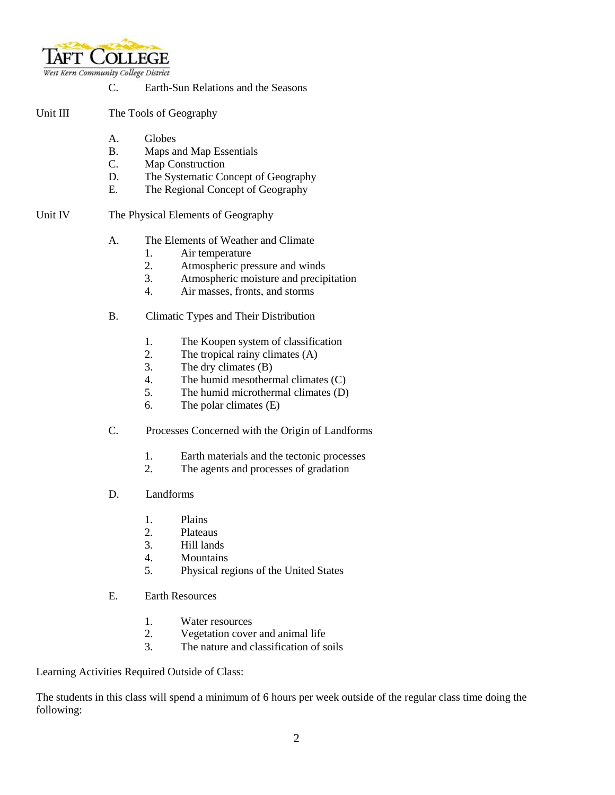

## C. Earth-Sun Relations and the Seasons

- Unit III The Tools of Geography
	- A. Globes
	- B. Maps and Map Essentials
	- C. Map Construction
	- D. The Systematic Concept of Geography
	- E. The Regional Concept of Geography

#### Unit IV The Physical Elements of Geography

- A. The Elements of Weather and Climate
	- 1. Air temperature
	- 2. Atmospheric pressure and winds
	- 3. Atmospheric moisture and precipitation
	- 4. Air masses, fronts, and storms
- B. Climatic Types and Their Distribution
	- 1. The Koopen system of classification
	- 2. The tropical rainy climates (A)
	- 3. The dry climates (B)
	- 4. The humid mesothermal climates (C)
	- 5. The humid microthermal climates (D)
	- 6. The polar climates (E)
- C. Processes Concerned with the Origin of Landforms
	- 1. Earth materials and the tectonic processes
	- 2. The agents and processes of gradation
- D. Landforms
	- 1. Plains
	- 2. Plateaus
	- 3. Hill lands
	- 4. Mountains
	- 5. Physical regions of the United States
- E. Earth Resources
	- 1. Water resources
	- 2. Vegetation cover and animal life
	- 3. The nature and classification of soils

#### Learning Activities Required Outside of Class:

The students in this class will spend a minimum of 6 hours per week outside of the regular class time doing the following: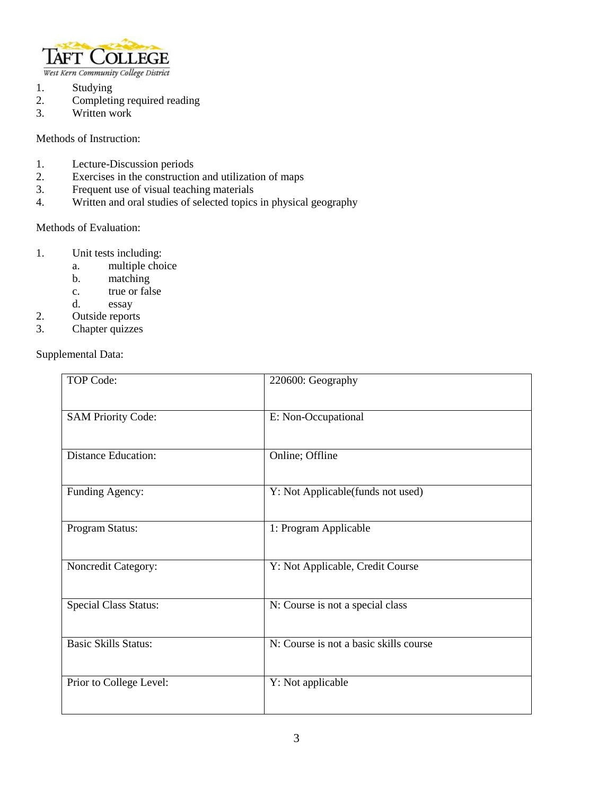

- 1. Studying<br>2. Completii
- 2. Completing required reading<br>3. Written work
- Written work

Methods of Instruction:

- 1. Lecture-Discussion periods
- 2. Exercises in the construction and utilization of maps
- 3. Frequent use of visual teaching materials
- 4. Written and oral studies of selected topics in physical geography

## Methods of Evaluation:

- 1. Unit tests including:
	- a. multiple choice
	- b. matching
	- c. true or false
	- d. essay
- 2. Outside reports
- 3. Chapter quizzes

# Supplemental Data:

| <b>TOP Code:</b>             | 220600: Geography                      |
|------------------------------|----------------------------------------|
| <b>SAM Priority Code:</b>    | E: Non-Occupational                    |
| <b>Distance Education:</b>   | Online; Offline                        |
| Funding Agency:              | Y: Not Applicable(funds not used)      |
| Program Status:              | 1: Program Applicable                  |
| Noncredit Category:          | Y: Not Applicable, Credit Course       |
| <b>Special Class Status:</b> | N: Course is not a special class       |
| <b>Basic Skills Status:</b>  | N: Course is not a basic skills course |
| Prior to College Level:      | Y: Not applicable                      |